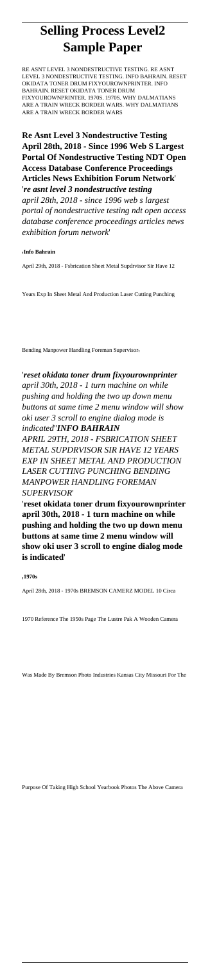# **Selling Process Level2 Sample Paper**

RE ASNT LEVEL 3 NONDESTRUCTIVE TESTING. RE ASNT LEVEL 3 NONDESTRUCTIVE TESTING. INFO BAHRAIN. RESET OKIDATA TONER DRUM FIXYOUROWNPRINTER. INFO BAHRAIN. RESET OKIDATA TONER DRUM FIXYOUROWNPRINTER. 1970S. 1970S. WHY DALMATIANS ARE A TRAIN WRECK BORDER WARS. WHY DALMATIANS ARE A TRAIN WRECK BORDER WARS

**Re Asnt Level 3 Nondestructive Testing April 28th, 2018 - Since 1996 Web S Largest Portal Of Nondestructive Testing NDT Open Access Database Conference Proceedings Articles News Exhibition Forum Network**' '*re asnt level 3 nondestructive testing april 28th, 2018 - since 1996 web s largest portal of nondestructive testing ndt open access database conference proceedings articles news*

*exhibition forum network*'

#### '**Info Bahrain**

April 29th, 2018 - Fsbrication Sheet Metal Supdrvisor Sir Have 12

Years Exp In Sheet Metal And Production Laser Cutting Punching

Bending Manpower Handling Foreman Supervisor,

'*reset okidata toner drum fixyourownprinter april 30th, 2018 - 1 turn machine on while pushing and holding the two up down menu buttons at same time 2 menu window will show oki user 3 scroll to engine dialog mode is indicated*''*INFO BAHRAIN*

*APRIL 29TH, 2018 - FSBRICATION SHEET METAL SUPDRVISOR SIR HAVE 12 YEARS EXP IN SHEET METAL AND PRODUCTION LASER CUTTING PUNCHING BENDING MANPOWER HANDLING FOREMAN SUPERVISOR*'

'**reset okidata toner drum fixyourownprinter april 30th, 2018 - 1 turn machine on while pushing and holding the two up down menu buttons at same time 2 menu window will show oki user 3 scroll to engine dialog mode is indicated**'

#### '**1970s**

April 28th, 2018 - 1970s BREMSON CAMERZ MODEL 10 Circa

1970 Reference The 1950s Page The Lustre Pak A Wooden Camera

Was Made By Bremson Photo Industries Kansas City Missouri For The

Purpose Of Taking High School Yearbook Photos The Above Camera